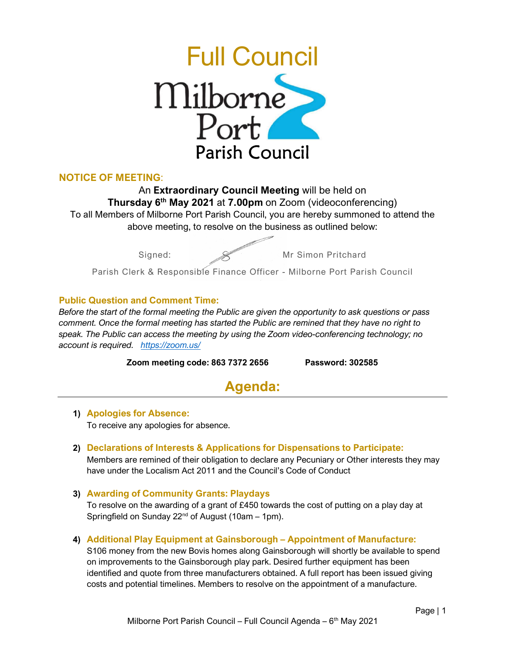

## NOTICE OF MEETING:

An Extraordinary Council Meeting will be held on **Thursday 6<sup>th</sup> May 2021** at **7.00pm** on Zoom (videoconferencing) To all Members of Milborne Port Parish Council, you are hereby summoned to attend the above meeting, to resolve on the business as outlined below:

Signed:  $\mathscr{L}$  Mr Simon Pritchard

Parish Clerk & Responsible Finance Officer - Milborne Port Parish Council

### Public Question and Comment Time:

Before the start of the formal meeting the Public are given the opportunity to ask questions or pass comment. Once the formal meeting has started the Public are remined that they have no right to speak. The Public can access the meeting by using the Zoom video-conferencing technology; no account is required. https://zoom.us/

Zoom meeting code: 863 7372 2656 Password: 302585

# Agenda:

1) Apologies for Absence: To receive any apologies for absence.

2) Declarations of Interests & Applications for Dispensations to Participate:

Members are remined of their obligation to declare any Pecuniary or Other interests they may have under the Localism Act 2011 and the Council's Code of Conduct

#### 3) Awarding of Community Grants: Playdays

To resolve on the awarding of a grant of £450 towards the cost of putting on a play day at Springfield on Sunday  $22^{nd}$  of August (10am – 1pm).

#### 4) Additional Play Equipment at Gainsborough – Appointment of Manufacture:

S106 money from the new Bovis homes along Gainsborough will shortly be available to spend on improvements to the Gainsborough play park. Desired further equipment has been identified and quote from three manufacturers obtained. A full report has been issued giving costs and potential timelines. Members to resolve on the appointment of a manufacture.